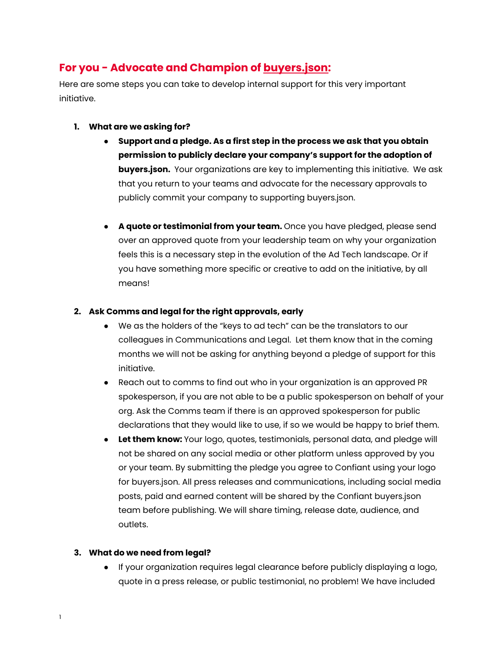# **For you - Advocate and Champion of [buyers.json:](http://buyersdotjson.com)**

Here are some steps you can take to develop internal support for this very important initiative.

- **1. What are we asking for?**
	- **Support and a pledge. As a first step in the process we ask that you obtain permission to publicly declare your company's support for the adoption of buyers.json.** Your organizations are key to implementing this initiative. We ask that you return to your teams and advocate for the necessary approvals to publicly commit your company to supporting buyers.json.
	- **● A quote or testimonial from your team.** Once you have pledged, please send over an approved quote from your leadership team on why your organization feels this is a necessary step in the evolution of the Ad Tech landscape. Or if you have something more specific or creative to add on the initiative, by all means!

## **2. Ask Comms and legal for the right approvals, early**

- We as the holders of the "keys to ad tech" can be the translators to our colleagues in Communications and Legal. Let them know that in the coming months we will not be asking for anything beyond a pledge of support for this initiative.
- Reach out to comms to find out who in your organization is an approved PR spokesperson, if you are not able to be a public spokesperson on behalf of your org. Ask the Comms team if there is an approved spokesperson for public declarations that they would like to use, if so we would be happy to brief them.
- **Let them know:** Your logo, quotes, testimonials, personal data, and pledge will not be shared on any social media or other platform unless approved by you or your team. By submitting the pledge you agree to Confiant using your logo for buyers.json. All press releases and communications, including social media posts, paid and earned content will be shared by the Confiant buyers.json team before publishing. We will share timing, release date, audience, and outlets.

## **3. What do we need from legal?**

● If your organization requires legal clearance before publicly displaying a logo, quote in a press release, or public testimonial, no problem! We have included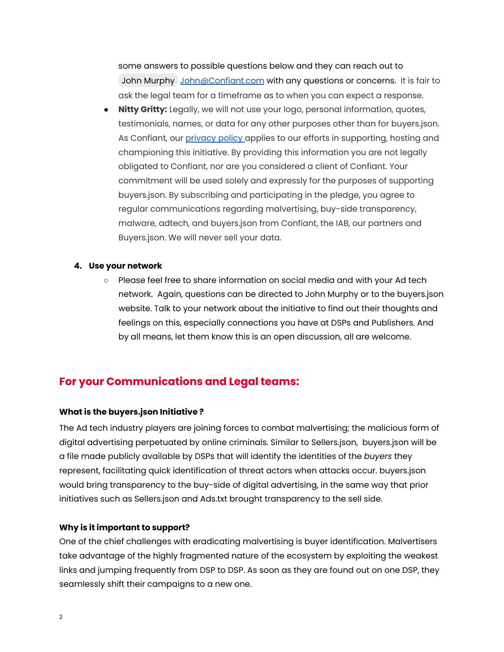some answers to possible questions below and they can reach out to John [Murphy](mailto:john@confiant.com) [John@Confiant.com](mailto:John@Confiant.com) with any questions or concerns. It is fair to ask the legal team for a timeframe as to when you can expect a response.

● **Nitty Gritty:** Legally, we will not use your logo, personal information, quotes, testimonials, names, or data for any other purposes other than for buyers.json. As Confiant, our [privacy](https://www.confiant.com/privacy) policy applies to our efforts in supporting, hosting and championing this initiative. By providing this information you are not legally obligated to Confiant, nor are you considered a client of Confiant. Your commitment will be used solely and expressly for the purposes of supporting buyers.json. By subscribing and participating in the pledge, you agree to regular communications regarding malvertising, buy-side transparency, malware, adtech, and buyers.json from Confiant, the IAB, our partners and Buyers.json. We will never sell your data.

#### **4. Use your network**

○ Please feel free to share information on social media and with your Ad tech network. Again, questions can be directed to John Murphy or to the buyers.json website. Talk to your network about the initiative to find out their thoughts and feelings on this, especially connections you have at DSPs and Publishers. And by all means, let them know this is an open discussion, all are welcome.

# **For your Communications and Legal teams:**

#### **What is the buyers.json Initiative ?**

The Ad tech industry players are joining forces to combat malvertising; the malicious form of digital advertising perpetuated by online criminals. Similar to Sellers.json, buyers.json will be a file made publicly available by DSPs that will identify the identities of the *buyers* they represent, facilitating quick identification of threat actors when attacks occur. buyers.json would bring transparency to the buy-side of digital advertising, in the same way that prior initiatives such as Sellers.json and Ads.txt brought transparency to the sell side.

#### **Why is it important to support?**

One of the chief challenges with eradicating malvertising is buyer identification. Malvertisers take advantage of the highly fragmented nature of the ecosystem by exploiting the weakest links and jumping frequently from DSP to DSP. As soon as they are found out on one DSP, they seamlessly shift their campaigns to a new one.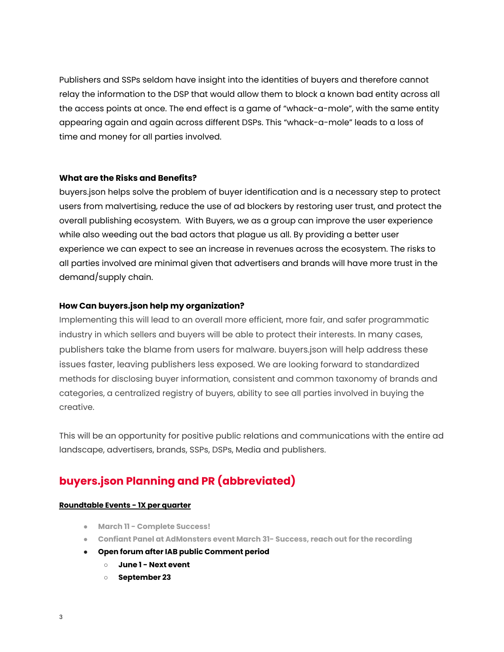Publishers and SSPs seldom have insight into the identities of buyers and therefore cannot relay the information to the DSP that would allow them to block a known bad entity across all the access points at once. The end effect is a game of "whack-a-mole", with the same entity appearing again and again across different DSPs. This "whack-a-mole" leads to a loss of time and money for all parties involved.

#### **What are the Risks and Benefits?**

buyers.json helps solve the problem of buyer identification and is a necessary step to protect users from malvertising, reduce the use of ad blockers by restoring user trust, and protect the overall publishing ecosystem. With Buyers, we as a group can improve the user experience while also weeding out the bad actors that plague us all. By providing a better user experience we can expect to see an increase in revenues across the ecosystem. The risks to all parties involved are minimal given that advertisers and brands will have more trust in the demand/supply chain.

## **How Can buyers.json help my organization?**

Implementing this will lead to an overall more efficient, more fair, and safer programmatic industry in which sellers and buyers will be able to protect their interests. In many cases, publishers take the blame from users for malware. buyers.json will help address these issues faster, leaving publishers less exposed. We are looking forward to standardized methods for disclosing buyer information, consistent and common taxonomy of brands and categories, a centralized registry of buyers, ability to see all parties involved in buying the creative.

This will be an opportunity for positive public relations and communications with the entire ad landscape, advertisers, brands, SSPs, DSPs, Media and publishers.

# **buyers.json Planning and PR (abbreviated)**

#### **Roundtable Events - 1X per quarter**

- **March 11 - Complete Success!**
- **Confiant Panel at AdMonsters event March 31- Success, reach out for the recording**
- **Open forum after IAB public Comment period**
	- **○ June 1 - Next event**
	- **September 23**